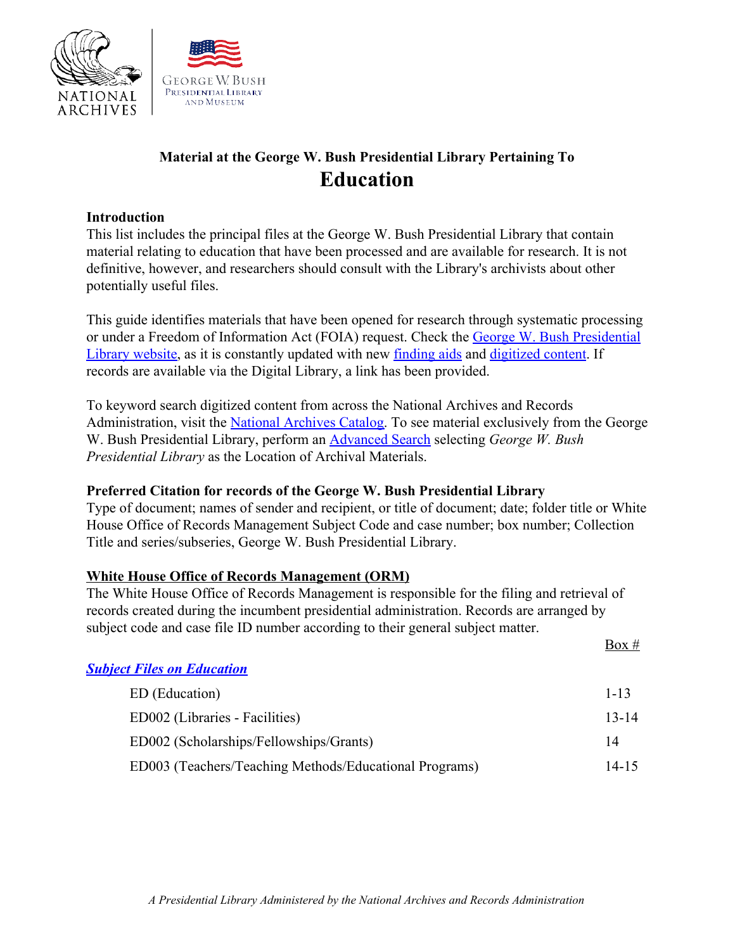



# **Material at the George W. Bush Presidential Library Pertaining To Education**

### **Introduction**

This list includes the principal files at the George W. Bush Presidential Library that contain material relating to education that have been processed and are available for research. It is not definitive, however, and researchers should consult with the Library's archivists about other potentially useful files.

This guide identifies materials that have been opened for research through systematic processing or under a Freedom of Information Act (FOIA) request. Check the [George W. Bush Presidential](https://www.georgewbushlibrary.gov/) [Library website,](https://www.georgewbushlibrary.gov/) as it is constantly updated with new [finding aids](https://www.georgewbushlibrary.gov/research/finding-aids) and [digitized content](https://www.georgewbushlibrary.gov/research/records-search?f%5B0%5D=type%3Afoia_request). If records are available via the Digital Library, a link has been provided.

To keyword search digitized content from across the National Archives and Records Administration, visit the [National Archives Catalog.](https://catalog.archives.gov/) To see material exclusively from the George W. Bush Presidential Library, perform an [Advanced Search](https://catalog.archives.gov/advancedsearch) selecting *George W. Bush Presidential Library* as the Location of Archival Materials.

## **Preferred Citation for records of the George W. Bush Presidential Library**

Type of document; names of sender and recipient, or title of document; date; folder title or White House Office of Records Management Subject Code and case number; box number; Collection Title and series/subseries, George W. Bush Presidential Library.

## **White House Office of Records Management (ORM)**

The White House Office of Records Management is responsible for the filing and retrieval of records created during the incumbent presidential administration. Records are arranged by subject code and case file ID number according to their general subject matter.

|                                                        | Box $#$   |
|--------------------------------------------------------|-----------|
| <b>Subject Files on Education</b>                      |           |
| ED (Education)                                         | $1 - 13$  |
| ED002 (Libraries - Facilities)                         | $13 - 14$ |
| ED002 (Scholarships/Fellowships/Grants)                | 14        |
| ED003 (Teachers/Teaching Methods/Educational Programs) | 14-15     |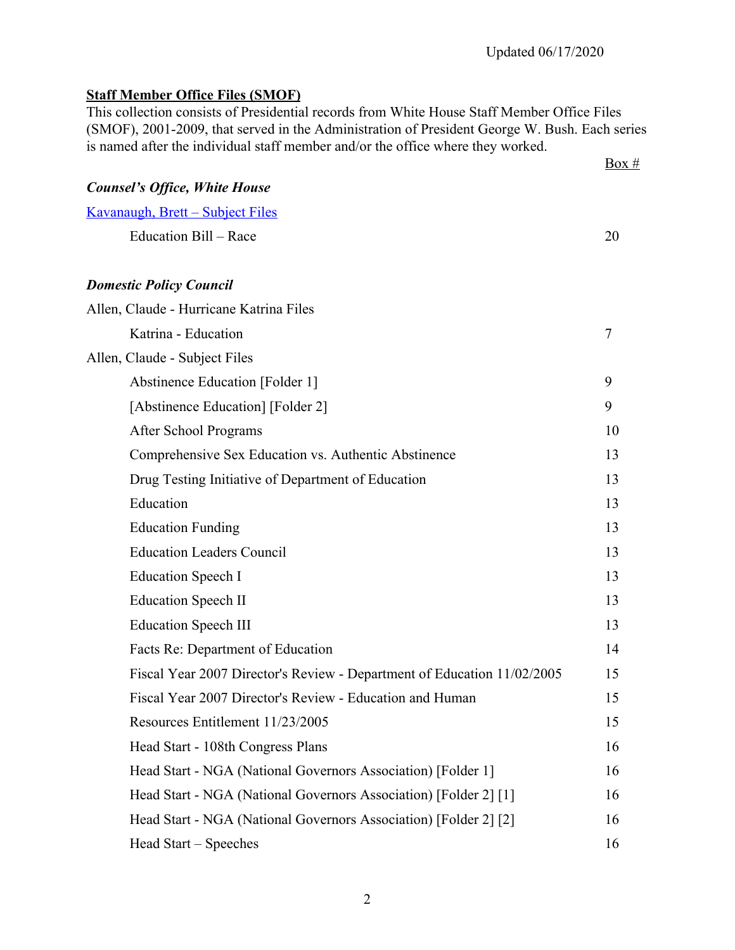## **Staff Member Office Files (SMOF)**

This collection consists of Presidential records from White House Staff Member Office Files (SMOF), 2001-2009, that served in the Administration of President George W. Bush. Each series is named after the individual staff member and/or the office where they worked.

|                                                                         | $Box \#$ |
|-------------------------------------------------------------------------|----------|
| <b>Counsel's Office, White House</b>                                    |          |
| <u> Kavanaugh, Brett – Subject Files</u>                                |          |
| Education Bill - Race                                                   | 20       |
| <b>Domestic Policy Council</b>                                          |          |
| Allen, Claude - Hurricane Katrina Files                                 |          |
| Katrina - Education                                                     | 7        |
| Allen, Claude - Subject Files                                           |          |
| Abstinence Education [Folder 1]                                         | 9        |
| [Abstinence Education] [Folder 2]                                       | 9        |
| After School Programs                                                   | 10       |
| Comprehensive Sex Education vs. Authentic Abstinence                    | 13       |
| Drug Testing Initiative of Department of Education                      | 13       |
| Education                                                               | 13       |
| <b>Education Funding</b>                                                | 13       |
| <b>Education Leaders Council</b>                                        | 13       |
| <b>Education Speech I</b>                                               | 13       |
| <b>Education Speech II</b>                                              | 13       |
| <b>Education Speech III</b>                                             | 13       |
| Facts Re: Department of Education                                       | 14       |
| Fiscal Year 2007 Director's Review - Department of Education 11/02/2005 | 15       |
| Fiscal Year 2007 Director's Review - Education and Human                | 15       |
| Resources Entitlement 11/23/2005                                        | 15       |
| Head Start - 108th Congress Plans                                       | 16       |
| Head Start - NGA (National Governors Association) [Folder 1]            | 16       |
| Head Start - NGA (National Governors Association) [Folder 2] [1]        | 16       |
| Head Start - NGA (National Governors Association) [Folder 2] [2]        | 16       |
| Head Start – Speeches                                                   | 16       |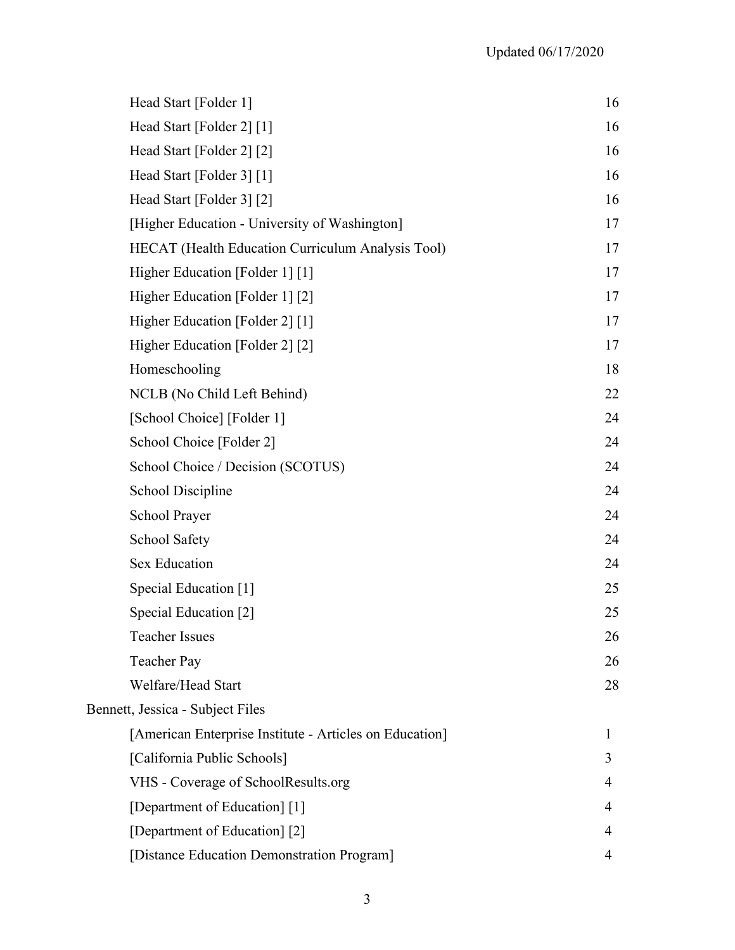| Head Start [Folder 1]                                    | 16 |
|----------------------------------------------------------|----|
| Head Start [Folder 2] [1]                                | 16 |
| Head Start [Folder 2] [2]                                | 16 |
| Head Start [Folder 3] [1]                                | 16 |
| Head Start [Folder 3] [2]                                | 16 |
| [Higher Education - University of Washington]            | 17 |
| <b>HECAT</b> (Health Education Curriculum Analysis Tool) | 17 |
| Higher Education [Folder 1] [1]                          | 17 |
| Higher Education [Folder 1] [2]                          | 17 |
| Higher Education [Folder 2] [1]                          | 17 |
| Higher Education [Folder 2] [2]                          | 17 |
| Homeschooling                                            | 18 |
| NCLB (No Child Left Behind)                              | 22 |
| [School Choice] [Folder 1]                               | 24 |
| School Choice [Folder 2]                                 | 24 |
| School Choice / Decision (SCOTUS)                        | 24 |
| <b>School Discipline</b>                                 | 24 |
| School Prayer                                            | 24 |
| <b>School Safety</b>                                     | 24 |
| <b>Sex Education</b>                                     | 24 |
| Special Education [1]                                    | 25 |
| Special Education [2]                                    | 25 |
| <b>Teacher Issues</b>                                    | 26 |
| <b>Teacher Pay</b>                                       | 26 |
| Welfare/Head Start                                       | 28 |
| Bennett, Jessica - Subject Files                         |    |
| [American Enterprise Institute - Articles on Education]  | 1  |
| [California Public Schools]                              | 3  |
| VHS - Coverage of SchoolResults.org                      | 4  |
| [Department of Education] [1]                            | 4  |
| [Department of Education] [2]                            | 4  |
| [Distance Education Demonstration Program]               | 4  |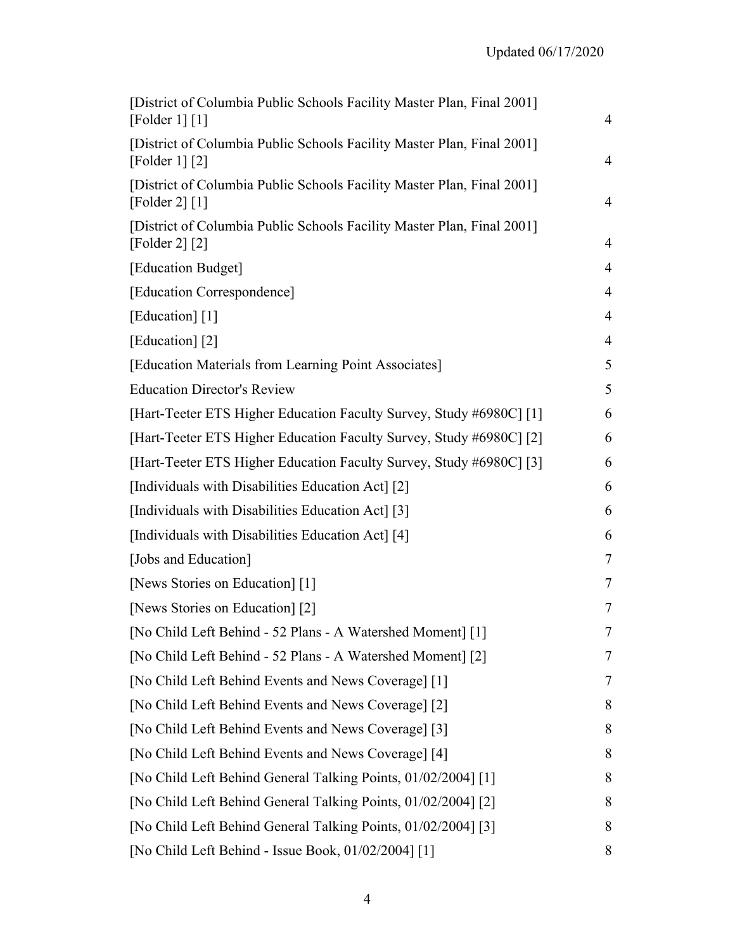| [District of Columbia Public Schools Facility Master Plan, Final 2001]<br>[Folder 1] [1]     | $\overline{4}$           |
|----------------------------------------------------------------------------------------------|--------------------------|
| [District of Columbia Public Schools Facility Master Plan, Final 2001]<br>[Folder 1] $[2]$   | $\overline{4}$           |
| [District of Columbia Public Schools Facility Master Plan, Final 2001]<br>[Folder 2] $[1]$   | $\overline{4}$           |
| [District of Columbia Public Schools Facility Master Plan, Final 2001]<br>$[{}Folder 2] [2]$ | $\overline{4}$           |
| [Education Budget]                                                                           | $\overline{4}$           |
| [Education Correspondence]                                                                   | $\overline{4}$           |
| [Education] [1]                                                                              | $\overline{4}$           |
| [Education] [2]                                                                              | $\overline{4}$           |
| [Education Materials from Learning Point Associates]                                         | 5                        |
| <b>Education Director's Review</b>                                                           | 5                        |
| [Hart-Teeter ETS Higher Education Faculty Survey, Study #6980C] [1]                          | 6                        |
| [Hart-Teeter ETS Higher Education Faculty Survey, Study #6980C] [2]                          | 6                        |
| [Hart-Teeter ETS Higher Education Faculty Survey, Study #6980C] [3]                          | 6                        |
| [Individuals with Disabilities Education Act] [2]                                            | 6                        |
| [Individuals with Disabilities Education Act] [3]                                            | 6                        |
| [Individuals with Disabilities Education Act] [4]                                            | 6                        |
| [Jobs and Education]                                                                         | $\overline{\mathcal{L}}$ |
| [News Stories on Education] [1]                                                              | 7                        |
| [News Stories on Education] [2]                                                              | 7                        |
| [No Child Left Behind - 52 Plans - A Watershed Moment] [1]                                   | 7                        |
| [No Child Left Behind - 52 Plans - A Watershed Moment] [2]                                   | 7                        |
| [No Child Left Behind Events and News Coverage] [1]                                          | 7                        |
| [No Child Left Behind Events and News Coverage] [2]                                          | 8                        |
| [No Child Left Behind Events and News Coverage] [3]                                          | 8                        |
| [No Child Left Behind Events and News Coverage] [4]                                          | 8                        |
| [No Child Left Behind General Talking Points, 01/02/2004] [1]                                | 8                        |
| [No Child Left Behind General Talking Points, 01/02/2004] [2]                                | 8                        |
| [No Child Left Behind General Talking Points, 01/02/2004] [3]                                | 8                        |
| [No Child Left Behind - Issue Book, 01/02/2004] [1]                                          | 8                        |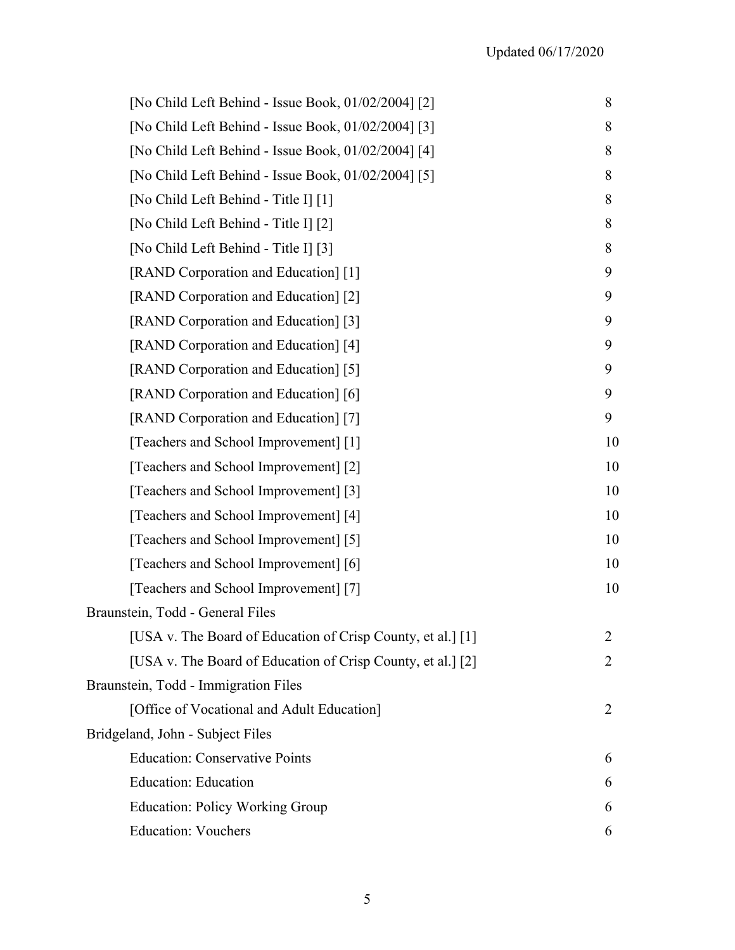| [No Child Left Behind - Issue Book, 01/02/2004] [2]         | 8  |
|-------------------------------------------------------------|----|
| [No Child Left Behind - Issue Book, 01/02/2004] [3]         | 8  |
| [No Child Left Behind - Issue Book, 01/02/2004] [4]         | 8  |
| [No Child Left Behind - Issue Book, 01/02/2004] [5]         | 8  |
| [No Child Left Behind - Title I] [1]                        | 8  |
| [No Child Left Behind - Title I] [2]                        | 8  |
| [No Child Left Behind - Title I] [3]                        | 8  |
| [RAND Corporation and Education] [1]                        | 9  |
| [RAND Corporation and Education] [2]                        | 9  |
| [RAND Corporation and Education] [3]                        | 9  |
| [RAND Corporation and Education] [4]                        | 9  |
| [RAND Corporation and Education] [5]                        | 9  |
| [RAND Corporation and Education] [6]                        | 9  |
| [RAND Corporation and Education] [7]                        | 9  |
| [Teachers and School Improvement] [1]                       | 10 |
| [Teachers and School Improvement] [2]                       | 10 |
| [Teachers and School Improvement] [3]                       | 10 |
| [Teachers and School Improvement] [4]                       | 10 |
| [Teachers and School Improvement] [5]                       | 10 |
| [Teachers and School Improvement] [6]                       | 10 |
| [Teachers and School Improvement] [7]                       | 10 |
| Braunstein, Todd - General Files                            |    |
| [USA v. The Board of Education of Crisp County, et al.] [1] | 2  |
| [USA v. The Board of Education of Crisp County, et al.] [2] | 2  |
| Braunstein, Todd - Immigration Files                        |    |
| [Office of Vocational and Adult Education]                  | 2  |
| Bridgeland, John - Subject Files                            |    |
| <b>Education: Conservative Points</b>                       | 6  |
| <b>Education: Education</b>                                 | 6  |
| <b>Education: Policy Working Group</b>                      | 6  |
| <b>Education: Vouchers</b>                                  | 6  |
|                                                             |    |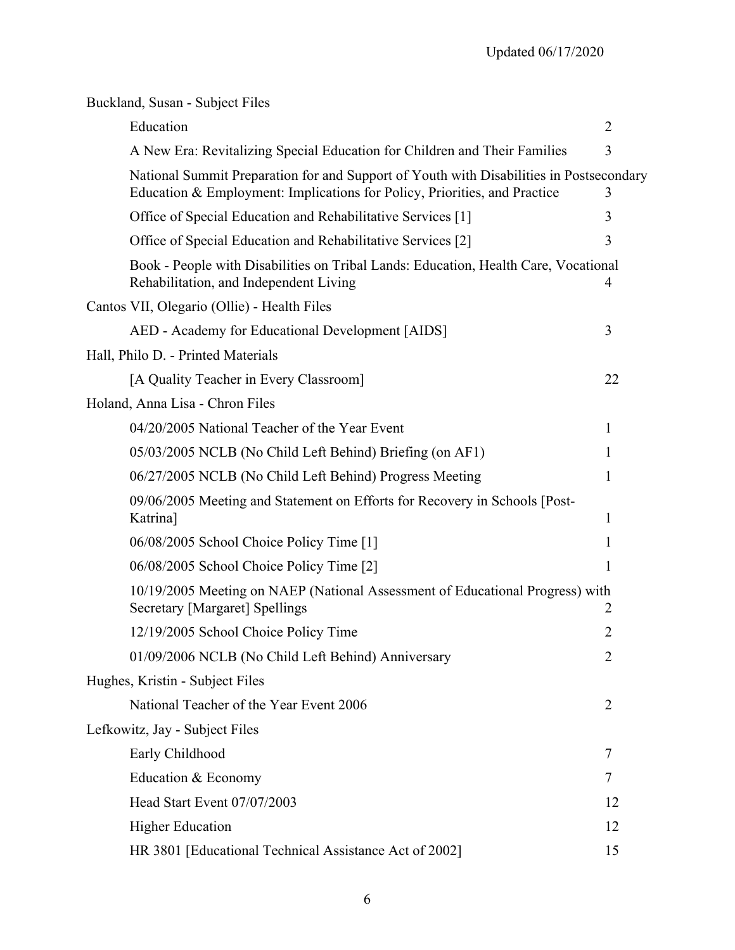| Buckland, Susan - Subject Files                                                                                                                                      |                |
|----------------------------------------------------------------------------------------------------------------------------------------------------------------------|----------------|
| Education                                                                                                                                                            | $\overline{2}$ |
| A New Era: Revitalizing Special Education for Children and Their Families                                                                                            | 3              |
| National Summit Preparation for and Support of Youth with Disabilities in Postsecondary<br>Education & Employment: Implications for Policy, Priorities, and Practice | 3              |
| Office of Special Education and Rehabilitative Services [1]                                                                                                          | 3              |
| Office of Special Education and Rehabilitative Services [2]                                                                                                          | 3              |
| Book - People with Disabilities on Tribal Lands: Education, Health Care, Vocational<br>Rehabilitation, and Independent Living                                        | 4              |
| Cantos VII, Olegario (Ollie) - Health Files                                                                                                                          |                |
| AED - Academy for Educational Development [AIDS]                                                                                                                     | 3              |
| Hall, Philo D. - Printed Materials                                                                                                                                   |                |
| [A Quality Teacher in Every Classroom]                                                                                                                               | 22             |
| Holand, Anna Lisa - Chron Files                                                                                                                                      |                |
| 04/20/2005 National Teacher of the Year Event                                                                                                                        | 1              |
| 05/03/2005 NCLB (No Child Left Behind) Briefing (on AF1)                                                                                                             | 1              |
| 06/27/2005 NCLB (No Child Left Behind) Progress Meeting                                                                                                              | 1              |
| 09/06/2005 Meeting and Statement on Efforts for Recovery in Schools [Post-<br>Katrina]                                                                               | 1              |
| 06/08/2005 School Choice Policy Time [1]                                                                                                                             | 1              |
| 06/08/2005 School Choice Policy Time [2]                                                                                                                             | 1              |
| 10/19/2005 Meeting on NAEP (National Assessment of Educational Progress) with<br><b>Secretary [Margaret] Spellings</b>                                               | $\overline{2}$ |
| 12/19/2005 School Choice Policy Time                                                                                                                                 | $\overline{2}$ |
| 01/09/2006 NCLB (No Child Left Behind) Anniversary                                                                                                                   | $\overline{2}$ |
| Hughes, Kristin - Subject Files                                                                                                                                      |                |
| National Teacher of the Year Event 2006                                                                                                                              | $\overline{2}$ |
| Lefkowitz, Jay - Subject Files                                                                                                                                       |                |
| Early Childhood                                                                                                                                                      | 7              |
| Education & Economy                                                                                                                                                  | 7              |
| Head Start Event 07/07/2003                                                                                                                                          | 12             |
| <b>Higher Education</b>                                                                                                                                              | 12             |
| HR 3801 [Educational Technical Assistance Act of 2002]                                                                                                               | 15             |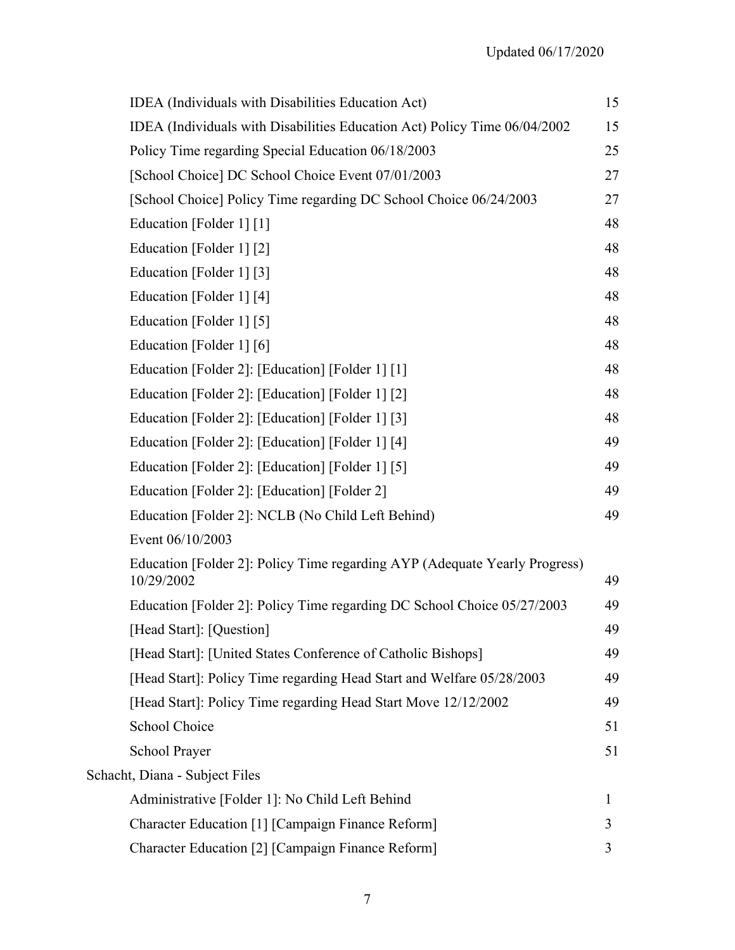| IDEA (Individuals with Disabilities Education Act)                                       | 15 |
|------------------------------------------------------------------------------------------|----|
| IDEA (Individuals with Disabilities Education Act) Policy Time 06/04/2002                | 15 |
| Policy Time regarding Special Education 06/18/2003                                       | 25 |
| [School Choice] DC School Choice Event 07/01/2003                                        | 27 |
| [School Choice] Policy Time regarding DC School Choice 06/24/2003                        | 27 |
| Education [Folder 1] [1]                                                                 | 48 |
| Education [Folder 1] [2]                                                                 | 48 |
| Education [Folder 1] [3]                                                                 | 48 |
| Education [Folder 1] [4]                                                                 | 48 |
| Education [Folder 1] [5]                                                                 | 48 |
| Education [Folder 1] [6]                                                                 | 48 |
| Education [Folder 2]: [Education] [Folder 1] [1]                                         | 48 |
| Education [Folder 2]: [Education] [Folder 1] [2]                                         | 48 |
| Education [Folder 2]: [Education] [Folder 1] [3]                                         | 48 |
| Education [Folder 2]: [Education] [Folder 1] [4]                                         | 49 |
| Education [Folder 2]: [Education] [Folder 1] [5]                                         | 49 |
| Education [Folder 2]: [Education] [Folder 2]                                             | 49 |
| Education [Folder 2]: NCLB (No Child Left Behind)                                        | 49 |
| Event 06/10/2003                                                                         |    |
| Education [Folder 2]: Policy Time regarding AYP (Adequate Yearly Progress)<br>10/29/2002 | 49 |
| Education [Folder 2]: Policy Time regarding DC School Choice 05/27/2003                  | 49 |
| [Head Start]: [Question]                                                                 | 49 |
| [Head Start]: [United States Conference of Catholic Bishops]                             | 49 |
| [Head Start]: Policy Time regarding Head Start and Welfare 05/28/2003                    | 49 |
| [Head Start]: Policy Time regarding Head Start Move 12/12/2002                           | 49 |
| School Choice                                                                            | 51 |
| School Prayer                                                                            | 51 |
| Schacht, Diana - Subject Files                                                           |    |
| Administrative [Folder 1]: No Child Left Behind                                          | 1  |
| Character Education [1] [Campaign Finance Reform]                                        | 3  |
| Character Education [2] [Campaign Finance Reform]                                        | 3  |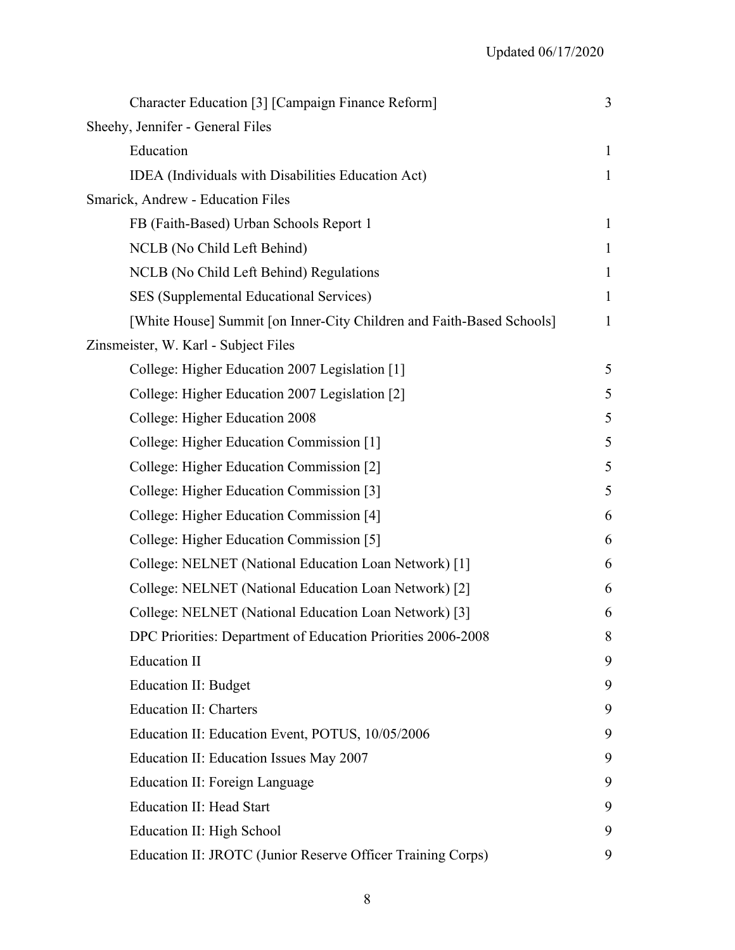| Character Education [3] [Campaign Finance Reform]                     | 3            |
|-----------------------------------------------------------------------|--------------|
| Sheehy, Jennifer - General Files                                      |              |
| Education                                                             | $\mathbf{1}$ |
| IDEA (Individuals with Disabilities Education Act)                    | $\mathbf{1}$ |
| Smarick, Andrew - Education Files                                     |              |
| FB (Faith-Based) Urban Schools Report 1                               | $\mathbf{1}$ |
| NCLB (No Child Left Behind)                                           | $\mathbf{1}$ |
| NCLB (No Child Left Behind) Regulations                               | $\mathbf{1}$ |
| SES (Supplemental Educational Services)                               | $\mathbf{1}$ |
| [White House] Summit [on Inner-City Children and Faith-Based Schools] | $\mathbf{1}$ |
| Zinsmeister, W. Karl - Subject Files                                  |              |
| College: Higher Education 2007 Legislation [1]                        | 5            |
| College: Higher Education 2007 Legislation [2]                        | 5            |
| College: Higher Education 2008                                        | 5            |
| College: Higher Education Commission [1]                              | 5            |
| College: Higher Education Commission [2]                              | 5            |
| College: Higher Education Commission [3]                              | 5            |
| College: Higher Education Commission [4]                              | 6            |
| College: Higher Education Commission [5]                              | 6            |
| College: NELNET (National Education Loan Network) [1]                 | 6            |
| College: NELNET (National Education Loan Network) [2]                 | 6            |
| College: NELNET (National Education Loan Network) [3]                 | 6            |
| DPC Priorities: Department of Education Priorities 2006-2008          | 8            |
| <b>Education II</b>                                                   | 9            |
| Education II: Budget                                                  | 9            |
| <b>Education II: Charters</b>                                         | 9            |
| Education II: Education Event, POTUS, 10/05/2006                      | 9            |
| Education II: Education Issues May 2007                               | 9            |
| <b>Education II: Foreign Language</b>                                 | 9            |
| <b>Education II: Head Start</b>                                       | 9            |
| Education II: High School                                             | 9            |
| Education II: JROTC (Junior Reserve Officer Training Corps)           | 9            |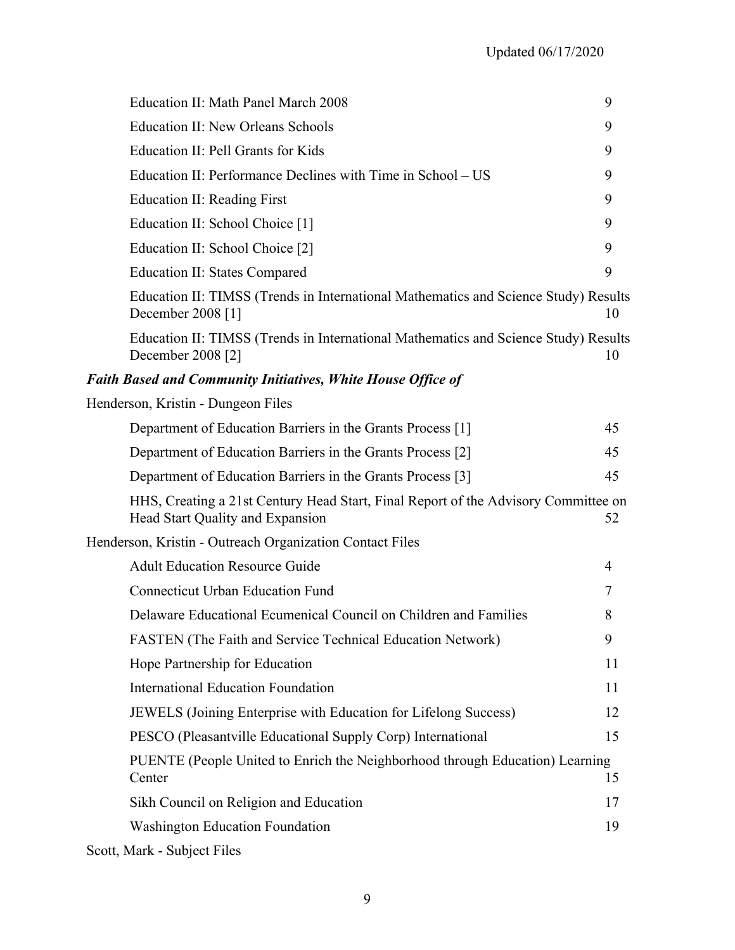| Education II: Math Panel March 2008                                                                                    | 9              |
|------------------------------------------------------------------------------------------------------------------------|----------------|
| <b>Education II: New Orleans Schools</b>                                                                               | 9              |
| Education II: Pell Grants for Kids                                                                                     | 9              |
| Education II: Performance Declines with Time in School – US                                                            | 9              |
| Education II: Reading First                                                                                            | 9              |
| Education II: School Choice [1]                                                                                        | 9              |
| Education II: School Choice [2]                                                                                        | 9              |
| <b>Education II: States Compared</b>                                                                                   | 9              |
| Education II: TIMSS (Trends in International Mathematics and Science Study) Results<br>December 2008 [1]               | 10             |
| Education II: TIMSS (Trends in International Mathematics and Science Study) Results<br>December 2008 [2]               | 10             |
| <b>Faith Based and Community Initiatives, White House Office of</b>                                                    |                |
| Henderson, Kristin - Dungeon Files                                                                                     |                |
| Department of Education Barriers in the Grants Process [1]                                                             | 45             |
| Department of Education Barriers in the Grants Process [2]                                                             | 45             |
| Department of Education Barriers in the Grants Process [3]                                                             | 45             |
| HHS, Creating a 21st Century Head Start, Final Report of the Advisory Committee on<br>Head Start Quality and Expansion | 52             |
| Henderson, Kristin - Outreach Organization Contact Files                                                               |                |
| <b>Adult Education Resource Guide</b>                                                                                  | $\overline{4}$ |
| <b>Connecticut Urban Education Fund</b>                                                                                | 7              |
| Delaware Educational Ecumenical Council on Children and Families                                                       | 8              |
| FASTEN (The Faith and Service Technical Education Network)                                                             | 9              |
| Hope Partnership for Education                                                                                         | 11             |
| <b>International Education Foundation</b>                                                                              | 11             |
| JEWELS (Joining Enterprise with Education for Lifelong Success)                                                        | 12             |
| PESCO (Pleasantville Educational Supply Corp) International                                                            | 15             |
| PUENTE (People United to Enrich the Neighborhood through Education) Learning<br>Center                                 | 15             |
| Sikh Council on Religion and Education                                                                                 | 17             |
| <b>Washington Education Foundation</b>                                                                                 | 19             |
| $M = 1 - C = 1$                                                                                                        |                |

Scott, Mark - Subject Files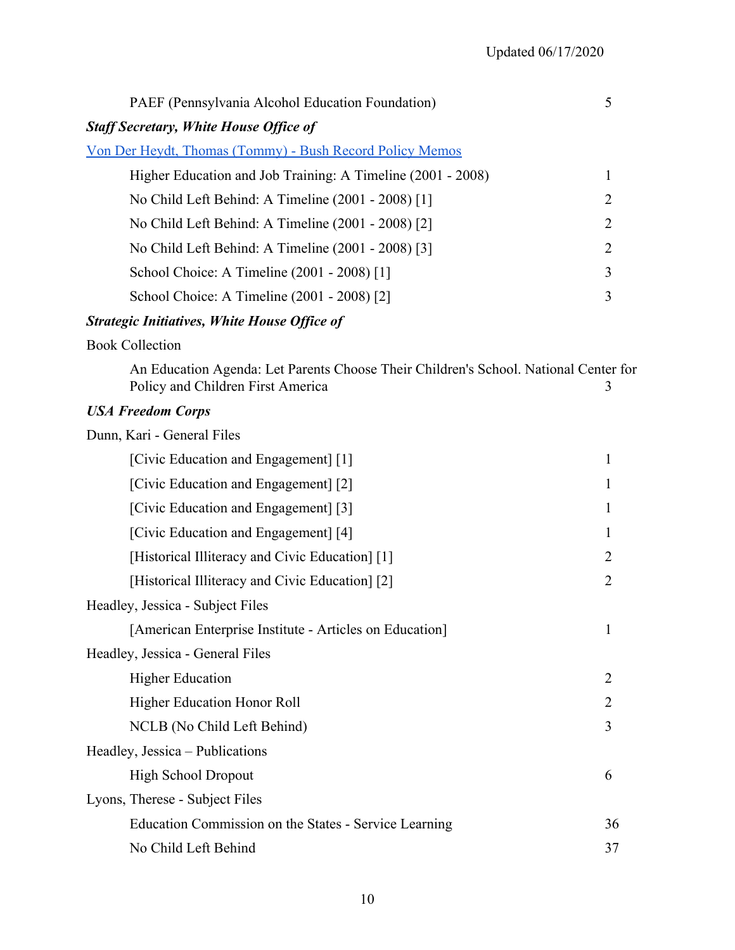| PAEF (Pennsylvania Alcohol Education Foundation)                 |                |  |
|------------------------------------------------------------------|----------------|--|
| <b>Staff Secretary, White House Office of</b>                    |                |  |
| <u> Von Der Heydt, Thomas (Tommy) - Bush Record Policy Memos</u> |                |  |
| Higher Education and Job Training: A Timeline (2001 - 2008)      | 1              |  |
| No Child Left Behind: A Timeline (2001 - 2008) [1]               | 2              |  |
| No Child Left Behind: A Timeline (2001 - 2008) [2]               | $\overline{2}$ |  |
| No Child Left Behind: A Timeline (2001 - 2008) [3]               | $\overline{2}$ |  |
| School Choice: A Timeline (2001 - 2008) [1]                      | 3              |  |
| School Choice: A Timeline (2001 - 2008) [2]                      | 3              |  |
| <b>Strategic Initiatives, White House Office of</b>              |                |  |

## Book Collection

| An Education Agenda: Let Parents Choose Their Children's School. National Center for |  |
|--------------------------------------------------------------------------------------|--|
| Policy and Children First America                                                    |  |

## *USA Freedom Corps*

| Dunn, Kari - General Files                              |    |
|---------------------------------------------------------|----|
| [Civic Education and Engagement] [1]                    | 1  |
| [Civic Education and Engagement] [2]                    | 1  |
| [Civic Education and Engagement] [3]                    | 1  |
| [Civic Education and Engagement] [4]                    | 1  |
| [Historical Illiteracy and Civic Education] [1]         | 2  |
| [Alistorical Illiteracy and Civic Education] [2]        | 2  |
| Headley, Jessica - Subject Files                        |    |
| [American Enterprise Institute - Articles on Education] | 1  |
| Headley, Jessica - General Files                        |    |
| <b>Higher Education</b>                                 | 2  |
| Higher Education Honor Roll                             | 2  |
| NCLB (No Child Left Behind)                             | 3  |
| Headley, Jessica – Publications                         |    |
| <b>High School Dropout</b>                              | 6  |
| Lyons, Therese - Subject Files                          |    |
| Education Commission on the States - Service Learning   | 36 |
| No Child Left Behind                                    | 37 |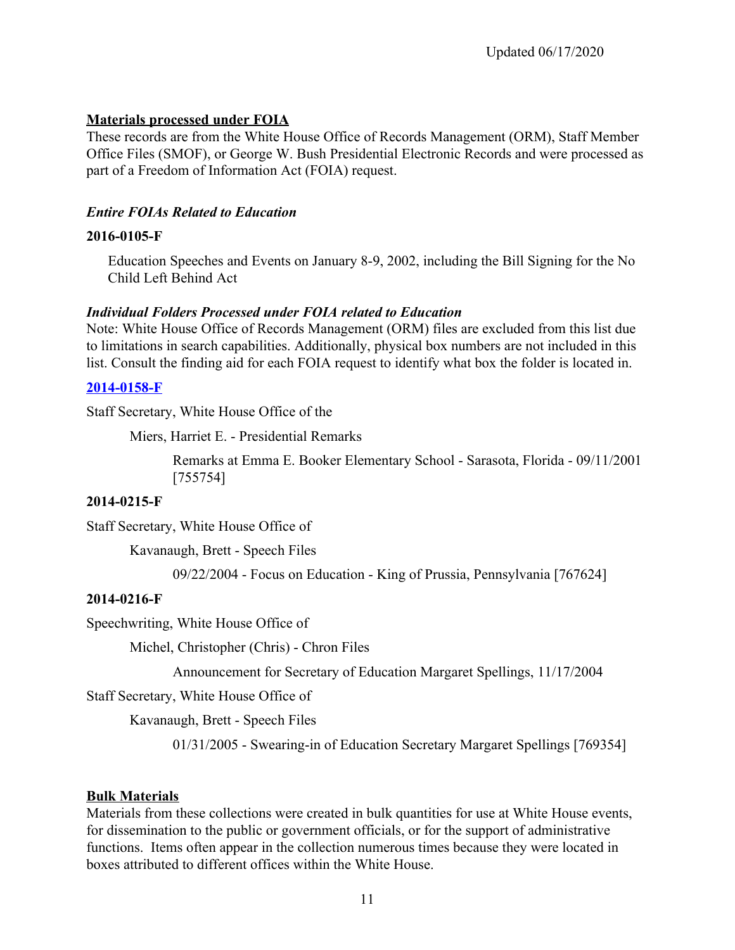## **Materials processed under FOIA**

These records are from the White House Office of Records Management (ORM), Staff Member Office Files (SMOF), or George W. Bush Presidential Electronic Records and were processed as part of a Freedom of Information Act (FOIA) request.

### *Entire FOIAs Related to Education*

#### **2016-0105-F**

Education Speeches and Events on January 8-9, 2002, including the Bill Signing for the No Child Left Behind Act

### *Individual Folders Processed under FOIA related to Education*

Note: White House Office of Records Management (ORM) files are excluded from this list due to limitations in search capabilities. Additionally, physical box numbers are not included in this list. Consult the finding aid for each FOIA request to identify what box the folder is located in.

### **[2014-0158-F](https://www.georgewbushlibrary.gov/research/finding-aids/foia-requests/2014-0158-f-records-george-w-bush-laura-bush-joshua-bolten-andrew-card-ari-fleischer-karl-rove-karen)**

Staff Secretary, White House Office of the

Miers, Harriet E. - Presidential Remarks

Remarks at Emma E. Booker Elementary School - Sarasota, Florida - 09/11/2001 [755754]

## **2014-0215-F**

Staff Secretary, White House Office of

Kavanaugh, Brett - Speech Files

09/22/2004 - Focus on Education - King of Prussia, Pennsylvania [767624]

#### **2014-0216-F**

Speechwriting, White House Office of

Michel, Christopher (Chris) - Chron Files

Announcement for Secretary of Education Margaret Spellings, 11/17/2004

Staff Secretary, White House Office of

Kavanaugh, Brett - Speech Files

01/31/2005 - Swearing-in of Education Secretary Margaret Spellings [769354]

#### **Bulk Materials**

 functions. Items often appear in the collection numerous times because they were located in Materials from these collections were created in bulk quantities for use at White House events, for dissemination to the public or government officials, or for the support of administrative boxes attributed to different offices within the White House.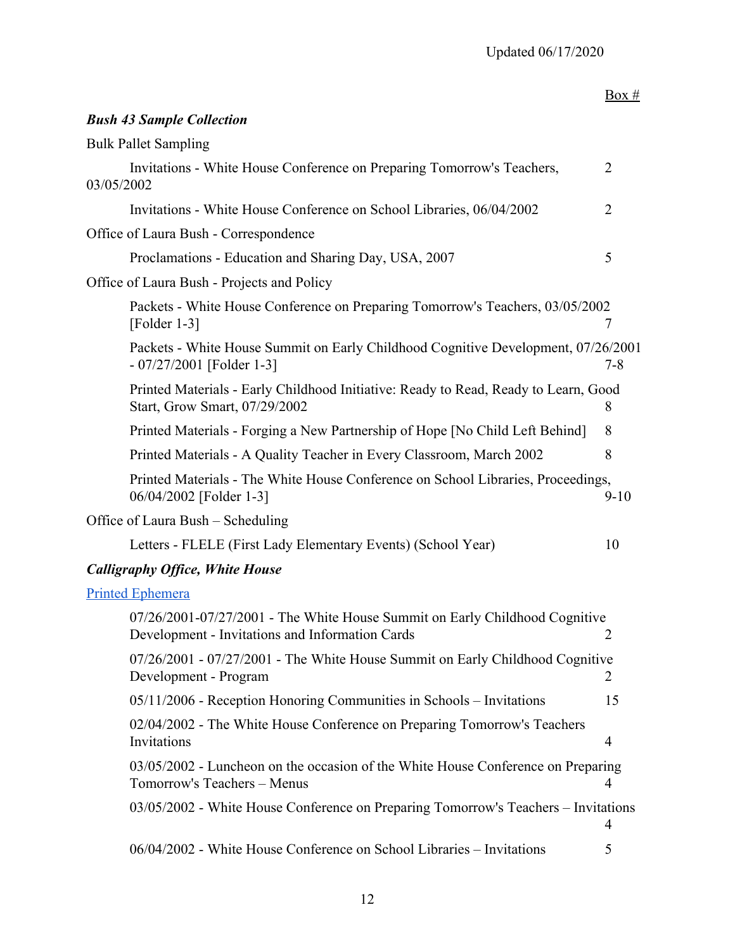| Box #                                                                                         |
|-----------------------------------------------------------------------------------------------|
|                                                                                               |
|                                                                                               |
| $\overline{2}$                                                                                |
| $\overline{2}$                                                                                |
|                                                                                               |
| 5                                                                                             |
|                                                                                               |
| Packets - White House Conference on Preparing Tomorrow's Teachers, 03/05/2002<br>7            |
| Packets - White House Summit on Early Childhood Cognitive Development, 07/26/2001<br>$7 - 8$  |
| Printed Materials - Early Childhood Initiative: Ready to Read, Ready to Learn, Good<br>8      |
| 8                                                                                             |
| 8                                                                                             |
| Printed Materials - The White House Conference on School Libraries, Proceedings,<br>$9 - 10$  |
|                                                                                               |
| 10                                                                                            |
|                                                                                               |
|                                                                                               |
| 07/26/2001-07/27/2001 - The White House Summit on Early Childhood Cognitive<br>$\overline{2}$ |
| 07/26/2001 - 07/27/2001 - The White House Summit on Early Childhood Cognitive<br>2            |
| 15                                                                                            |
| $\overline{4}$                                                                                |
| $03/05/2002$ - Luncheon on the occasion of the White House Conference on Preparing<br>4       |
|                                                                                               |

| 03/05/2002 - White House Conference on Preparing Tomorrow's Teachers - Invitations |  |
|------------------------------------------------------------------------------------|--|
|                                                                                    |  |

06/04/2002 - White House Conference on School Libraries – Invitations 5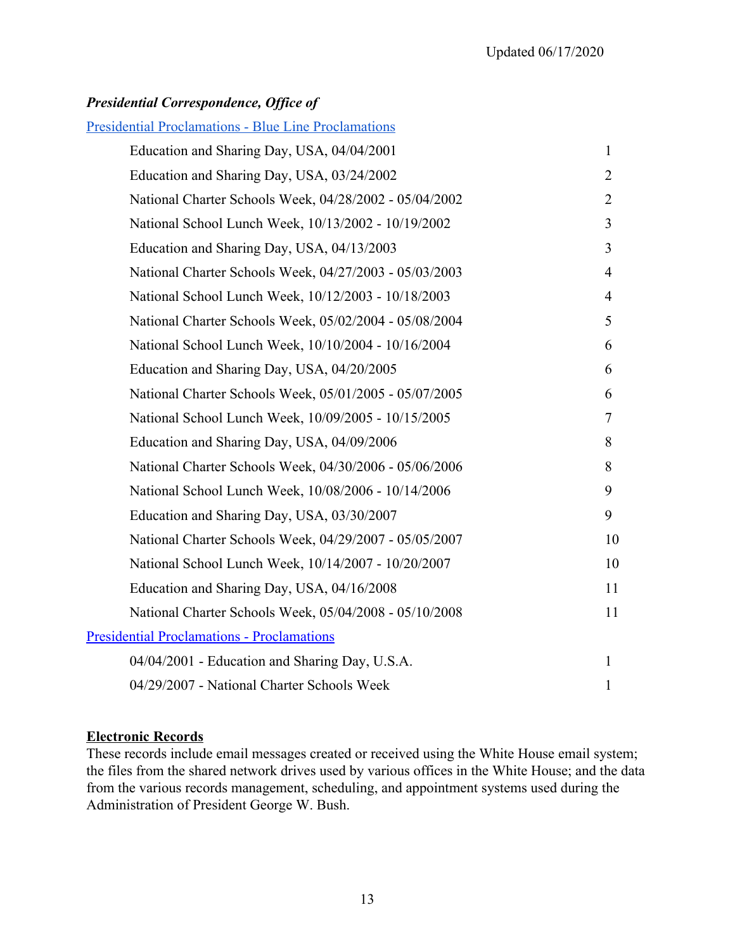## *Presidential Correspondence, Office of*

## [Presidential Proclamations - Blue Line Proclamations](https://www.georgewbushlibrary.gov/research/finding-aids/white-house-staff-member-office-files/blue-line-proclamations)

| Education and Sharing Day, USA, 04/04/2001             | $\mathbf{1}$   |
|--------------------------------------------------------|----------------|
| Education and Sharing Day, USA, 03/24/2002             | $\overline{2}$ |
| National Charter Schools Week, 04/28/2002 - 05/04/2002 | 2              |
| National School Lunch Week, 10/13/2002 - 10/19/2002    | $\overline{3}$ |
| Education and Sharing Day, USA, 04/13/2003             | $\overline{3}$ |
| National Charter Schools Week, 04/27/2003 - 05/03/2003 | $\overline{4}$ |
| National School Lunch Week, 10/12/2003 - 10/18/2003    | $\overline{4}$ |
| National Charter Schools Week, 05/02/2004 - 05/08/2004 | 5              |
| National School Lunch Week, 10/10/2004 - 10/16/2004    | 6              |
| Education and Sharing Day, USA, 04/20/2005             | 6              |
| National Charter Schools Week, 05/01/2005 - 05/07/2005 | 6              |
| National School Lunch Week, 10/09/2005 - 10/15/2005    | $\tau$         |
| Education and Sharing Day, USA, 04/09/2006             | 8              |
| National Charter Schools Week, 04/30/2006 - 05/06/2006 | 8              |
| National School Lunch Week, 10/08/2006 - 10/14/2006    | 9              |
| Education and Sharing Day, USA, 03/30/2007             | 9              |
| National Charter Schools Week, 04/29/2007 - 05/05/2007 | 10             |
| National School Lunch Week, 10/14/2007 - 10/20/2007    | 10             |
| Education and Sharing Day, USA, 04/16/2008             | 11             |
| National Charter Schools Week, 05/04/2008 - 05/10/2008 | 11             |
| <b>Presidential Proclamations - Proclamations</b>      |                |
| 04/04/2001 - Education and Sharing Day, U.S.A.         | $\mathbf{1}$   |
| 04/29/2007 - National Charter Schools Week             | $\mathbf{1}$   |

#### **Electronic Records**

These records include email messages created or received using the White House email system; the files from the shared network drives used by various offices in the White House; and the data from the various records management, scheduling, and appointment systems used during the Administration of President George W. Bush.